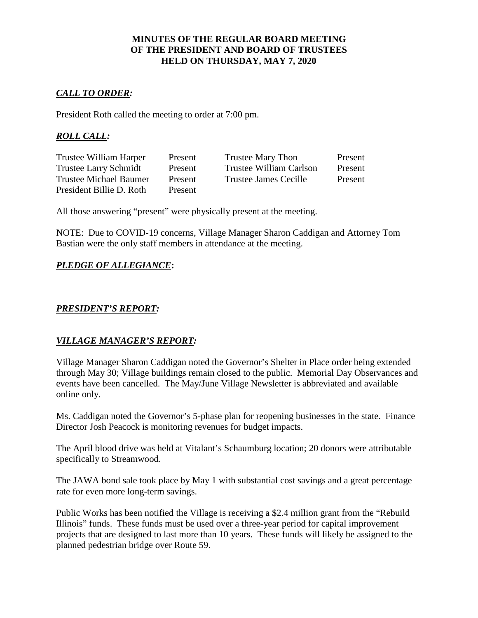# **MINUTES OF THE REGULAR BOARD MEETING OF THE PRESIDENT AND BOARD OF TRUSTEES HELD ON THURSDAY, MAY 7, 2020**

# *CALL TO ORDER:*

President Roth called the meeting to order at 7:00 pm.

# *ROLL CALL:*

| Trustee William Harper        | Present | Trustee Mary Thon       | Present |
|-------------------------------|---------|-------------------------|---------|
| <b>Trustee Larry Schmidt</b>  | Present | Trustee William Carlson | Present |
| <b>Trustee Michael Baumer</b> | Present | Trustee James Cecille   | Present |
| President Billie D. Roth      | Present |                         |         |

All those answering "present" were physically present at the meeting.

NOTE: Due to COVID-19 concerns, Village Manager Sharon Caddigan and Attorney Tom Bastian were the only staff members in attendance at the meeting.

# *PLEDGE OF ALLEGIANCE***:**

# *PRESIDENT'S REPORT:*

# *VILLAGE MANAGER'S REPORT:*

Village Manager Sharon Caddigan noted the Governor's Shelter in Place order being extended through May 30; Village buildings remain closed to the public. Memorial Day Observances and events have been cancelled. The May/June Village Newsletter is abbreviated and available online only.

Ms. Caddigan noted the Governor's 5-phase plan for reopening businesses in the state. Finance Director Josh Peacock is monitoring revenues for budget impacts.

The April blood drive was held at Vitalant's Schaumburg location; 20 donors were attributable specifically to Streamwood.

The JAWA bond sale took place by May 1 with substantial cost savings and a great percentage rate for even more long-term savings.

Public Works has been notified the Village is receiving a \$2.4 million grant from the "Rebuild Illinois" funds. These funds must be used over a three-year period for capital improvement projects that are designed to last more than 10 years. These funds will likely be assigned to the planned pedestrian bridge over Route 59.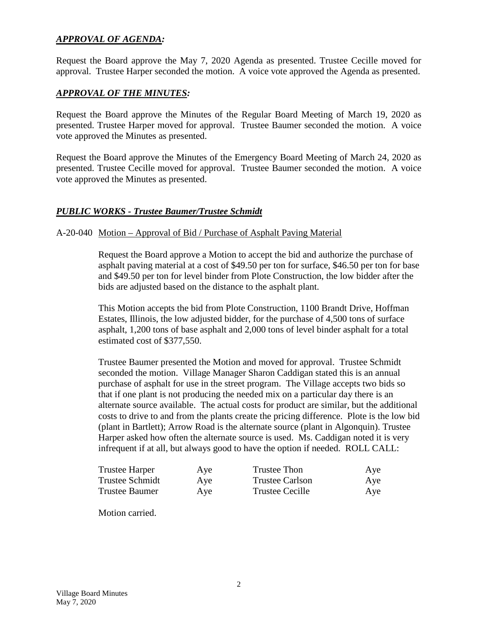# *APPROVAL OF AGENDA:*

Request the Board approve the May 7, 2020 Agenda as presented. Trustee Cecille moved for approval. Trustee Harper seconded the motion. A voice vote approved the Agenda as presented.

# *APPROVAL OF THE MINUTES:*

Request the Board approve the Minutes of the Regular Board Meeting of March 19, 2020 as presented. Trustee Harper moved for approval. Trustee Baumer seconded the motion. A voice vote approved the Minutes as presented.

Request the Board approve the Minutes of the Emergency Board Meeting of March 24, 2020 as presented. Trustee Cecille moved for approval. Trustee Baumer seconded the motion. A voice vote approved the Minutes as presented.

#### *PUBLIC WORKS - Trustee Baumer/Trustee Schmidt*

#### A-20-040 Motion – Approval of Bid / Purchase of Asphalt Paving Material

Request the Board approve a Motion to accept the bid and authorize the purchase of asphalt paving material at a cost of \$49.50 per ton for surface, \$46.50 per ton for base and \$49.50 per ton for level binder from Plote Construction, the low bidder after the bids are adjusted based on the distance to the asphalt plant.

This Motion accepts the bid from Plote Construction, 1100 Brandt Drive, Hoffman Estates, Illinois, the low adjusted bidder, for the purchase of 4,500 tons of surface asphalt, 1,200 tons of base asphalt and 2,000 tons of level binder asphalt for a total estimated cost of \$377,550.

Trustee Baumer presented the Motion and moved for approval. Trustee Schmidt seconded the motion. Village Manager Sharon Caddigan stated this is an annual purchase of asphalt for use in the street program. The Village accepts two bids so that if one plant is not producing the needed mix on a particular day there is an alternate source available. The actual costs for product are similar, but the additional costs to drive to and from the plants create the pricing difference. Plote is the low bid (plant in Bartlett); Arrow Road is the alternate source (plant in Algonquin). Trustee Harper asked how often the alternate source is used. Ms. Caddigan noted it is very infrequent if at all, but always good to have the option if needed. ROLL CALL:

| <b>Trustee Harper</b>  | Aye | Trustee Thon    | Aye |
|------------------------|-----|-----------------|-----|
| <b>Trustee Schmidt</b> | Aye | Trustee Carlson | Aye |
| <b>Trustee Baumer</b>  | Aye | Trustee Cecille | Aye |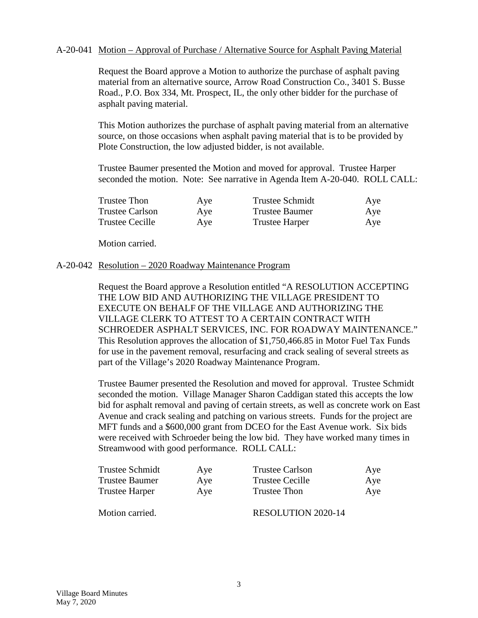#### A-20-041 Motion – Approval of Purchase / Alternative Source for Asphalt Paving Material

Request the Board approve a Motion to authorize the purchase of asphalt paving material from an alternative source, Arrow Road Construction Co., 3401 S. Busse Road., P.O. Box 334, Mt. Prospect, IL, the only other bidder for the purchase of asphalt paving material.

This Motion authorizes the purchase of asphalt paving material from an alternative source, on those occasions when asphalt paving material that is to be provided by Plote Construction, the low adjusted bidder, is not available.

Trustee Baumer presented the Motion and moved for approval. Trustee Harper seconded the motion. Note: See narrative in Agenda Item A-20-040. ROLL CALL:

| Trustee Thon           | Aye | <b>Trustee Schmidt</b> | Aye |
|------------------------|-----|------------------------|-----|
| <b>Trustee Carlson</b> | Aye | Trustee Baumer         | Aye |
| Trustee Cecille        | Aye | <b>Trustee Harper</b>  | Aye |

Motion carried.

#### A-20-042 Resolution – 2020 Roadway Maintenance Program

Request the Board approve a Resolution entitled "A RESOLUTION ACCEPTING THE LOW BID AND AUTHORIZING THE VILLAGE PRESIDENT TO EXECUTE ON BEHALF OF THE VILLAGE AND AUTHORIZING THE VILLAGE CLERK TO ATTEST TO A CERTAIN CONTRACT WITH SCHROEDER ASPHALT SERVICES, INC. FOR ROADWAY MAINTENANCE." This Resolution approves the allocation of \$1,750,466.85 in Motor Fuel Tax Funds for use in the pavement removal, resurfacing and crack sealing of several streets as part of the Village's 2020 Roadway Maintenance Program.

Trustee Baumer presented the Resolution and moved for approval. Trustee Schmidt seconded the motion. Village Manager Sharon Caddigan stated this accepts the low bid for asphalt removal and paving of certain streets, as well as concrete work on East Avenue and crack sealing and patching on various streets. Funds for the project are MFT funds and a \$600,000 grant from DCEO for the East Avenue work. Six bids were received with Schroeder being the low bid. They have worked many times in Streamwood with good performance. ROLL CALL:

| Trustee Schmidt       | Aye | <b>Trustee Carlson</b> | Aye |
|-----------------------|-----|------------------------|-----|
| <b>Trustee Baumer</b> | Aye | <b>Trustee Cecille</b> | Aye |
| <b>Trustee Harper</b> | Aye | <b>Trustee Thon</b>    | Aye |
| Motion carried.       |     | RESOLUTION 2020-14     |     |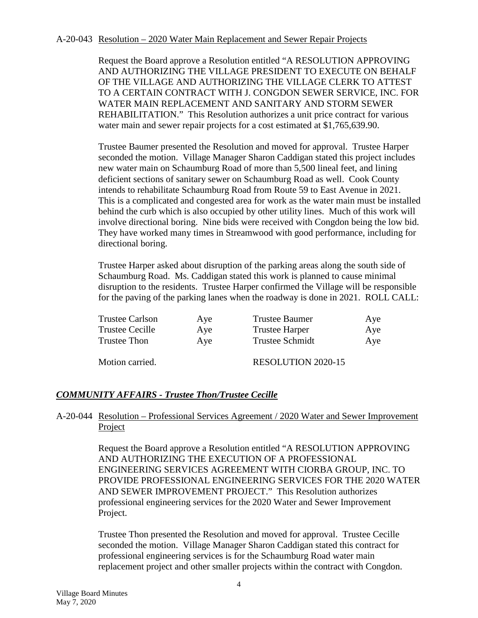#### A-20-043 Resolution – 2020 Water Main Replacement and Sewer Repair Projects

Request the Board approve a Resolution entitled "A RESOLUTION APPROVING AND AUTHORIZING THE VILLAGE PRESIDENT TO EXECUTE ON BEHALF OF THE VILLAGE AND AUTHORIZING THE VILLAGE CLERK TO ATTEST TO A CERTAIN CONTRACT WITH J. CONGDON SEWER SERVICE, INC. FOR WATER MAIN REPLACEMENT AND SANITARY AND STORM SEWER REHABILITATION." This Resolution authorizes a unit price contract for various water main and sewer repair projects for a cost estimated at \$1,765,639.90.

Trustee Baumer presented the Resolution and moved for approval. Trustee Harper seconded the motion. Village Manager Sharon Caddigan stated this project includes new water main on Schaumburg Road of more than 5,500 lineal feet, and lining deficient sections of sanitary sewer on Schaumburg Road as well. Cook County intends to rehabilitate Schaumburg Road from Route 59 to East Avenue in 2021. This is a complicated and congested area for work as the water main must be installed behind the curb which is also occupied by other utility lines. Much of this work will involve directional boring. Nine bids were received with Congdon being the low bid. They have worked many times in Streamwood with good performance, including for directional boring.

Trustee Harper asked about disruption of the parking areas along the south side of Schaumburg Road. Ms. Caddigan stated this work is planned to cause minimal disruption to the residents. Trustee Harper confirmed the Village will be responsible for the paving of the parking lanes when the roadway is done in 2021. ROLL CALL:

| <b>Trustee Carlson</b> | Aye | Trustee Baumer            | Aye |
|------------------------|-----|---------------------------|-----|
| <b>Trustee Cecille</b> | Aye | <b>Trustee Harper</b>     | Aye |
| Trustee Thon           | Aye | <b>Trustee Schmidt</b>    | Aye |
| Motion carried.        |     | <b>RESOLUTION 2020-15</b> |     |

# *COMMUNITY AFFAIRS - Trustee Thon/Trustee Cecille*

## A-20-044 Resolution – Professional Services Agreement / 2020 Water and Sewer Improvement Project

Request the Board approve a Resolution entitled "A RESOLUTION APPROVING AND AUTHORIZING THE EXECUTION OF A PROFESSIONAL ENGINEERING SERVICES AGREEMENT WITH CIORBA GROUP, INC. TO PROVIDE PROFESSIONAL ENGINEERING SERVICES FOR THE 2020 WATER AND SEWER IMPROVEMENT PROJECT." This Resolution authorizes professional engineering services for the 2020 Water and Sewer Improvement Project.

Trustee Thon presented the Resolution and moved for approval. Trustee Cecille seconded the motion. Village Manager Sharon Caddigan stated this contract for professional engineering services is for the Schaumburg Road water main replacement project and other smaller projects within the contract with Congdon.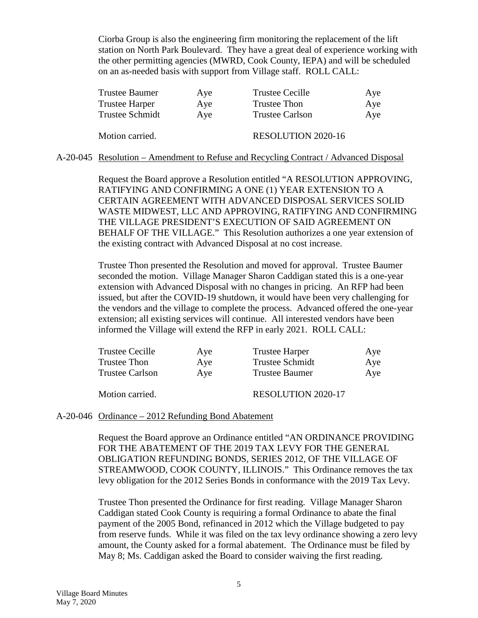Ciorba Group is also the engineering firm monitoring the replacement of the lift station on North Park Boulevard. They have a great deal of experience working with the other permitting agencies (MWRD, Cook County, IEPA) and will be scheduled on an as-needed basis with support from Village staff. ROLL CALL:

| <b>Trustee Baumer</b>  | Aye | <b>Trustee Cecille</b>    | Aye |
|------------------------|-----|---------------------------|-----|
| <b>Trustee Harper</b>  | Aye | <b>Trustee Thon</b>       | Aye |
| <b>Trustee Schmidt</b> | Aye | <b>Trustee Carlson</b>    | Aye |
| Motion carried.        |     | <b>RESOLUTION 2020-16</b> |     |
|                        |     |                           |     |

A-20-045 Resolution – Amendment to Refuse and Recycling Contract / Advanced Disposal

Request the Board approve a Resolution entitled "A RESOLUTION APPROVING, RATIFYING AND CONFIRMING A ONE (1) YEAR EXTENSION TO A CERTAIN AGREEMENT WITH ADVANCED DISPOSAL SERVICES SOLID WASTE MIDWEST, LLC AND APPROVING, RATIFYING AND CONFIRMING THE VILLAGE PRESIDENT'S EXECUTION OF SAID AGREEMENT ON BEHALF OF THE VILLAGE." This Resolution authorizes a one year extension of the existing contract with Advanced Disposal at no cost increase.

Trustee Thon presented the Resolution and moved for approval. Trustee Baumer seconded the motion. Village Manager Sharon Caddigan stated this is a one-year extension with Advanced Disposal with no changes in pricing. An RFP had been issued, but after the COVID-19 shutdown, it would have been very challenging for the vendors and the village to complete the process. Advanced offered the one-year extension; all existing services will continue. All interested vendors have been informed the Village will extend the RFP in early 2021. ROLL CALL:

| Trustee Cecille        | Aye | <b>Trustee Harper</b>  | Aye |
|------------------------|-----|------------------------|-----|
| Trustee Thon           | Aye | <b>Trustee Schmidt</b> | Aye |
| <b>Trustee Carlson</b> | Aye | <b>Trustee Baumer</b>  | Aye |
| Motion carried.        |     | RESOLUTION 2020-17     |     |

#### A-20-046 Ordinance – 2012 Refunding Bond Abatement

Request the Board approve an Ordinance entitled "AN ORDINANCE PROVIDING FOR THE ABATEMENT OF THE 2019 TAX LEVY FOR THE GENERAL OBLIGATION REFUNDING BONDS, SERIES 2012, OF THE VILLAGE OF STREAMWOOD, COOK COUNTY, ILLINOIS." This Ordinance removes the tax levy obligation for the 2012 Series Bonds in conformance with the 2019 Tax Levy.

Trustee Thon presented the Ordinance for first reading. Village Manager Sharon Caddigan stated Cook County is requiring a formal Ordinance to abate the final payment of the 2005 Bond, refinanced in 2012 which the Village budgeted to pay from reserve funds. While it was filed on the tax levy ordinance showing a zero levy amount, the County asked for a formal abatement. The Ordinance must be filed by May 8; Ms. Caddigan asked the Board to consider waiving the first reading.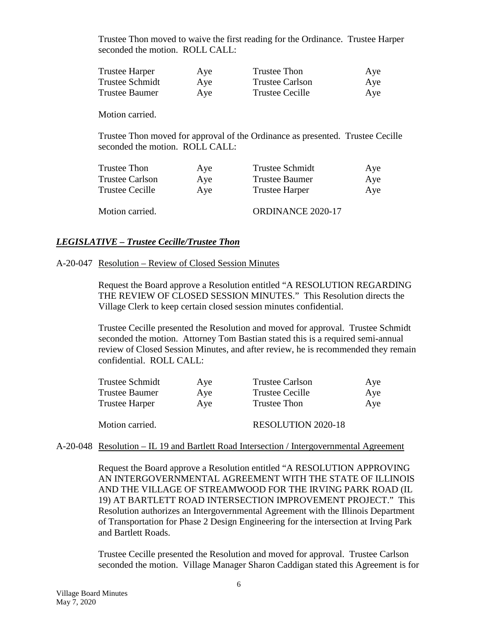Trustee Thon moved to waive the first reading for the Ordinance. Trustee Harper seconded the motion. ROLL CALL:

| <b>Trustee Harper</b> | Aye | Trustee Thon           | Aye |
|-----------------------|-----|------------------------|-----|
| Trustee Schmidt       | Aye | <b>Trustee Carlson</b> | Aye |
| <b>Trustee Baumer</b> | Aye | <b>Trustee Cecille</b> | Aye |

Motion carried.

Trustee Thon moved for approval of the Ordinance as presented. Trustee Cecille seconded the motion. ROLL CALL:

| Trustee Thon           | Aye | Trustee Schmidt       | Aye |
|------------------------|-----|-----------------------|-----|
| <b>Trustee Carlson</b> | Aye | <b>Trustee Baumer</b> | Aye |
| Trustee Cecille        | Ave | <b>Trustee Harper</b> | Aye |
| Motion carried.        |     | ORDINANCE 2020-17     |     |

# *LEGISLATIVE – Trustee Cecille/Trustee Thon*

#### A-20-047 Resolution – Review of Closed Session Minutes

Request the Board approve a Resolution entitled "A RESOLUTION REGARDING THE REVIEW OF CLOSED SESSION MINUTES." This Resolution directs the Village Clerk to keep certain closed session minutes confidential.

Trustee Cecille presented the Resolution and moved for approval. Trustee Schmidt seconded the motion. Attorney Tom Bastian stated this is a required semi-annual review of Closed Session Minutes, and after review, he is recommended they remain confidential. ROLL CALL:

| Trustee Schmidt       | Aye | <b>Trustee Carlson</b>    | Aye |
|-----------------------|-----|---------------------------|-----|
| <b>Trustee Baumer</b> | Aye | <b>Trustee Cecille</b>    | Aye |
| <b>Trustee Harper</b> | Aye | Trustee Thon              | Aye |
| Motion carried.       |     | <b>RESOLUTION 2020-18</b> |     |

#### A-20-048 Resolution – IL 19 and Bartlett Road Intersection / Intergovernmental Agreement

Request the Board approve a Resolution entitled "A RESOLUTION APPROVING AN INTERGOVERNMENTAL AGREEMENT WITH THE STATE OF ILLINOIS AND THE VILLAGE OF STREAMWOOD FOR THE IRVING PARK ROAD (IL 19) AT BARTLETT ROAD INTERSECTION IMPROVEMENT PROJECT." This Resolution authorizes an Intergovernmental Agreement with the Illinois Department of Transportation for Phase 2 Design Engineering for the intersection at Irving Park and Bartlett Roads.

Trustee Cecille presented the Resolution and moved for approval. Trustee Carlson seconded the motion. Village Manager Sharon Caddigan stated this Agreement is for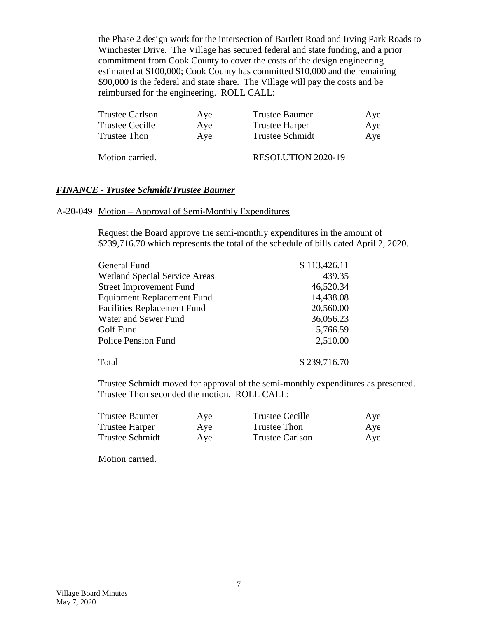the Phase 2 design work for the intersection of Bartlett Road and Irving Park Roads to Winchester Drive. The Village has secured federal and state funding, and a prior commitment from Cook County to cover the costs of the design engineering estimated at \$100,000; Cook County has committed \$10,000 and the remaining \$90,000 is the federal and state share. The Village will pay the costs and be reimbursed for the engineering. ROLL CALL:

| Trustee Carlson | Aye | Trustee Baumer         | Aye |
|-----------------|-----|------------------------|-----|
| Trustee Cecille | Aye | <b>Trustee Harper</b>  | Aye |
| Trustee Thon    | Ave | <b>Trustee Schmidt</b> | Aye |
|                 |     |                        |     |

Motion carried. RESOLUTION 2020-19

#### *FINANCE - Trustee Schmidt/Trustee Baumer*

#### A-20-049 Motion – Approval of Semi-Monthly Expenditures

Request the Board approve the semi-monthly expenditures in the amount of \$239,716.70 which represents the total of the schedule of bills dated April 2, 2020.

| General Fund                         | \$113,426.11 |
|--------------------------------------|--------------|
| <b>Wetland Special Service Areas</b> | 439.35       |
| <b>Street Improvement Fund</b>       | 46,520.34    |
| <b>Equipment Replacement Fund</b>    | 14,438.08    |
| <b>Facilities Replacement Fund</b>   | 20,560.00    |
| Water and Sewer Fund                 | 36,056.23    |
| Golf Fund                            | 5,766.59     |
| <b>Police Pension Fund</b>           | 2,510.00     |
| Total                                | \$239,716.70 |

Trustee Schmidt moved for approval of the semi-monthly expenditures as presented. Trustee Thon seconded the motion. ROLL CALL:

| Trustee Baumer  | Aye | <b>Trustee Cecille</b> | Aye |
|-----------------|-----|------------------------|-----|
| Trustee Harper  | Aye | Trustee Thon           | Aye |
| Trustee Schmidt | Aye | Trustee Carlson        | Aye |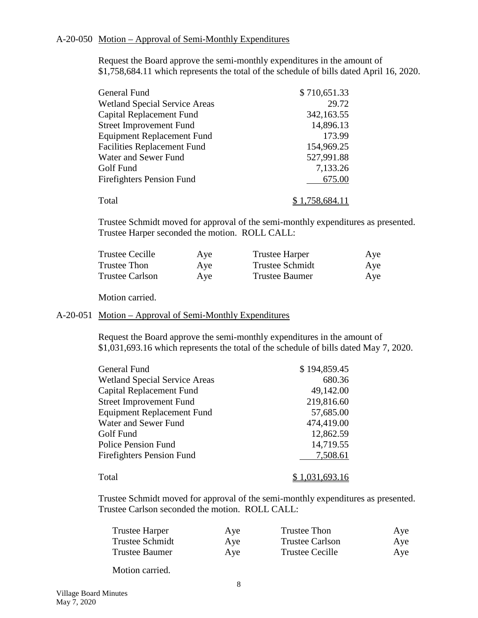#### A-20-050 Motion – Approval of Semi-Monthly Expenditures

Request the Board approve the semi-monthly expenditures in the amount of \$1,758,684.11 which represents the total of the schedule of bills dated April 16, 2020.

| General Fund                         | \$710,651.33   |
|--------------------------------------|----------------|
| <b>Wetland Special Service Areas</b> | 29.72          |
| Capital Replacement Fund             | 342,163.55     |
| <b>Street Improvement Fund</b>       | 14,896.13      |
| <b>Equipment Replacement Fund</b>    | 173.99         |
| <b>Facilities Replacement Fund</b>   | 154,969.25     |
| Water and Sewer Fund                 | 527,991.88     |
| Golf Fund                            | 7,133.26       |
| <b>Firefighters Pension Fund</b>     | 675.00         |
| Total                                | \$1,758,684.11 |

Trustee Schmidt moved for approval of the semi-monthly expenditures as presented. Trustee Harper seconded the motion. ROLL CALL:

| Trustee Cecille        | Aye | <b>Trustee Harper</b>  | Aye |
|------------------------|-----|------------------------|-----|
| Trustee Thon           | Aye | <b>Trustee Schmidt</b> | Aye |
| <b>Trustee Carlson</b> | Aye | Trustee Baumer         | Aye |

Motion carried.

# A-20-051 Motion – Approval of Semi-Monthly Expenditures

Request the Board approve the semi-monthly expenditures in the amount of \$1,031,693.16 which represents the total of the schedule of bills dated May 7, 2020.

| General Fund                         | \$194,859.45   |
|--------------------------------------|----------------|
| <b>Wetland Special Service Areas</b> | 680.36         |
| Capital Replacement Fund             | 49,142.00      |
| <b>Street Improvement Fund</b>       | 219,816.60     |
| <b>Equipment Replacement Fund</b>    | 57,685.00      |
| Water and Sewer Fund                 | 474,419.00     |
| Golf Fund                            | 12,862.59      |
| <b>Police Pension Fund</b>           | 14,719.55      |
| <b>Firefighters Pension Fund</b>     | 7,508.61       |
|                                      |                |
| Total                                | \$1,031,693.16 |

Trustee Schmidt moved for approval of the semi-monthly expenditures as presented. Trustee Carlson seconded the motion. ROLL CALL:

| <b>Trustee Harper</b> | Aye | Trustee Thon           | Aye |
|-----------------------|-----|------------------------|-----|
| Trustee Schmidt       | Aye | <b>Trustee Carlson</b> | Aye |
| <b>Trustee Baumer</b> | Aye | Trustee Cecille        | Aye |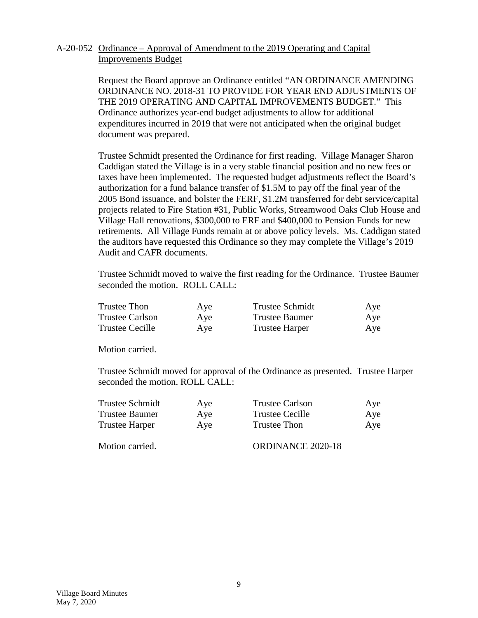# A-20-052 Ordinance – Approval of Amendment to the 2019 Operating and Capital Improvements Budget

Request the Board approve an Ordinance entitled "AN ORDINANCE AMENDING ORDINANCE NO. 2018-31 TO PROVIDE FOR YEAR END ADJUSTMENTS OF THE 2019 OPERATING AND CAPITAL IMPROVEMENTS BUDGET." This Ordinance authorizes year-end budget adjustments to allow for additional expenditures incurred in 2019 that were not anticipated when the original budget document was prepared.

Trustee Schmidt presented the Ordinance for first reading. Village Manager Sharon Caddigan stated the Village is in a very stable financial position and no new fees or taxes have been implemented. The requested budget adjustments reflect the Board's authorization for a fund balance transfer of \$1.5M to pay off the final year of the 2005 Bond issuance, and bolster the FERF, \$1.2M transferred for debt service/capital projects related to Fire Station #31, Public Works, Streamwood Oaks Club House and Village Hall renovations, \$300,000 to ERF and \$400,000 to Pension Funds for new retirements. All Village Funds remain at or above policy levels. Ms. Caddigan stated the auditors have requested this Ordinance so they may complete the Village's 2019 Audit and CAFR documents.

Trustee Schmidt moved to waive the first reading for the Ordinance. Trustee Baumer seconded the motion. ROLL CALL:

| <b>Trustee Thon</b>    | Aye | <b>Trustee Schmidt</b> | Aye |
|------------------------|-----|------------------------|-----|
| <b>Trustee Carlson</b> | Aye | Trustee Baumer         | Aye |
| Trustee Cecille        | Aye | <b>Trustee Harper</b>  | Aye |

Motion carried.

Trustee Schmidt moved for approval of the Ordinance as presented. Trustee Harper seconded the motion. ROLL CALL:

| Trustee Schmidt | Aye | <b>Trustee Carlson</b> | Aye |
|-----------------|-----|------------------------|-----|
| Trustee Baumer  | Aye | Trustee Cecille        | Aye |
| Trustee Harper  | Aye | Trustee Thon           | Aye |

Motion carried. CORDINANCE 2020-18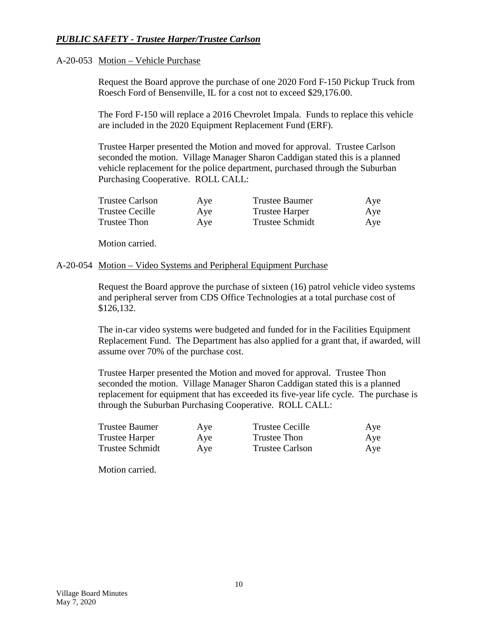# *PUBLIC SAFETY - Trustee Harper/Trustee Carlson*

#### A-20-053 Motion – Vehicle Purchase

Request the Board approve the purchase of one 2020 Ford F-150 Pickup Truck from Roesch Ford of Bensenville, IL for a cost not to exceed \$29,176.00.

The Ford F-150 will replace a 2016 Chevrolet Impala. Funds to replace this vehicle are included in the 2020 Equipment Replacement Fund (ERF).

Trustee Harper presented the Motion and moved for approval. Trustee Carlson seconded the motion. Village Manager Sharon Caddigan stated this is a planned vehicle replacement for the police department, purchased through the Suburban Purchasing Cooperative. ROLL CALL:

| <b>Trustee Carlson</b> | Aye | Trustee Baumer        | Aye |
|------------------------|-----|-----------------------|-----|
| Trustee Cecille        | Aye | <b>Trustee Harper</b> | Aye |
| Trustee Thon           | Aye | Trustee Schmidt       | Aye |

Motion carried.

#### A-20-054 Motion – Video Systems and Peripheral Equipment Purchase

Request the Board approve the purchase of sixteen (16) patrol vehicle video systems and peripheral server from CDS Office Technologies at a total purchase cost of \$126,132.

The in-car video systems were budgeted and funded for in the Facilities Equipment Replacement Fund. The Department has also applied for a grant that, if awarded, will assume over 70% of the purchase cost.

Trustee Harper presented the Motion and moved for approval. Trustee Thon seconded the motion. Village Manager Sharon Caddigan stated this is a planned replacement for equipment that has exceeded its five-year life cycle. The purchase is through the Suburban Purchasing Cooperative. ROLL CALL:

| Trustee Baumer  | Aye | <b>Trustee Cecille</b> | Aye |
|-----------------|-----|------------------------|-----|
| Trustee Harper  | Aye | Trustee Thon           | Aye |
| Trustee Schmidt | Aye | <b>Trustee Carlson</b> | Aye |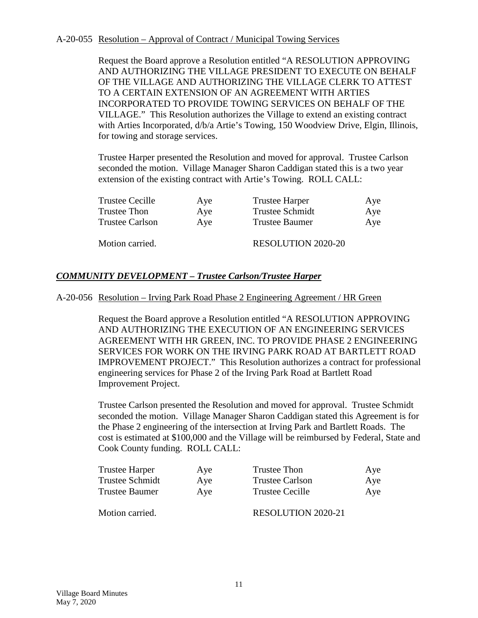#### A-20-055 Resolution – Approval of Contract / Municipal Towing Services

Request the Board approve a Resolution entitled "A RESOLUTION APPROVING AND AUTHORIZING THE VILLAGE PRESIDENT TO EXECUTE ON BEHALF OF THE VILLAGE AND AUTHORIZING THE VILLAGE CLERK TO ATTEST TO A CERTAIN EXTENSION OF AN AGREEMENT WITH ARTIES INCORPORATED TO PROVIDE TOWING SERVICES ON BEHALF OF THE VILLAGE." This Resolution authorizes the Village to extend an existing contract with Arties Incorporated,  $d/b/a$  Artie's Towing, 150 Woodview Drive, Elgin, Illinois, for towing and storage services.

Trustee Harper presented the Resolution and moved for approval. Trustee Carlson seconded the motion. Village Manager Sharon Caddigan stated this is a two year extension of the existing contract with Artie's Towing. ROLL CALL:

| <b>Trustee Cecille</b> | Aye | <b>Trustee Harper</b>     | Aye |
|------------------------|-----|---------------------------|-----|
| Trustee Thon           | Aye | <b>Trustee Schmidt</b>    | Aye |
| <b>Trustee Carlson</b> | Ave | Trustee Baumer            | Aye |
| Motion carried.        |     | <b>RESOLUTION 2020-20</b> |     |

# *COMMUNITY DEVELOPMENT – Trustee Carlson/Trustee Harper*

A-20-056 Resolution – Irving Park Road Phase 2 Engineering Agreement / HR Green

Request the Board approve a Resolution entitled "A RESOLUTION APPROVING AND AUTHORIZING THE EXECUTION OF AN ENGINEERING SERVICES AGREEMENT WITH HR GREEN, INC. TO PROVIDE PHASE 2 ENGINEERING SERVICES FOR WORK ON THE IRVING PARK ROAD AT BARTLETT ROAD IMPROVEMENT PROJECT." This Resolution authorizes a contract for professional engineering services for Phase 2 of the Irving Park Road at Bartlett Road Improvement Project.

Trustee Carlson presented the Resolution and moved for approval. Trustee Schmidt seconded the motion. Village Manager Sharon Caddigan stated this Agreement is for the Phase 2 engineering of the intersection at Irving Park and Bartlett Roads. The cost is estimated at \$100,000 and the Village will be reimbursed by Federal, State and Cook County funding. ROLL CALL:

| Trustee Harper  | Aye | Trustee Thon              | Aye |
|-----------------|-----|---------------------------|-----|
| Trustee Schmidt | Aye | <b>Trustee Carlson</b>    | Aye |
| Trustee Baumer  | Aye | <b>Trustee Cecille</b>    | Aye |
| Motion carried. |     | <b>RESOLUTION 2020-21</b> |     |